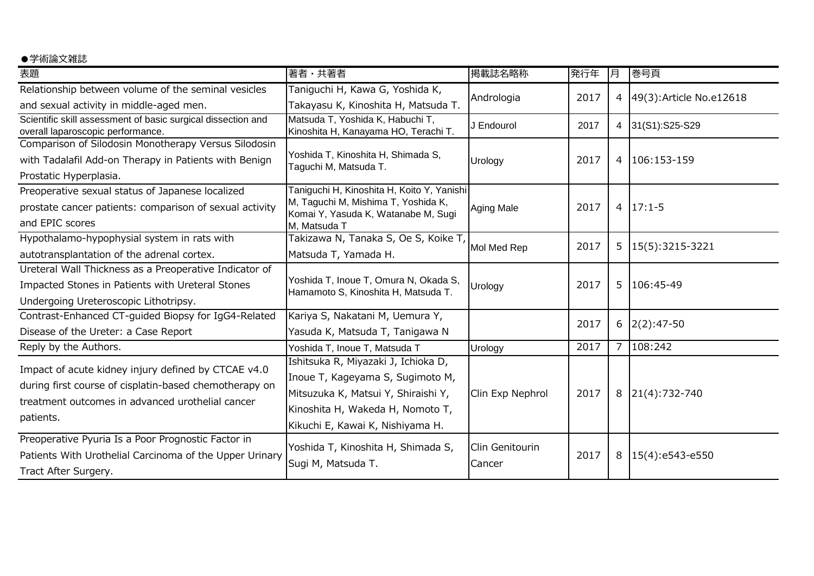## ●学術論文雑誌

| 表題                                                                                                | 著者・共著者                                                                       | 掲載誌名略称            | 発行年  | 月              | 巻号頁                      |
|---------------------------------------------------------------------------------------------------|------------------------------------------------------------------------------|-------------------|------|----------------|--------------------------|
| Relationship between volume of the seminal vesicles                                               | Taniguchi H, Kawa G, Yoshida K,                                              | Andrologia        | 2017 |                |                          |
| and sexual activity in middle-aged men.                                                           | Takayasu K, Kinoshita H, Matsuda T.                                          |                   |      | 4              | 49(3): Article No.e12618 |
| Scientific skill assessment of basic surgical dissection and<br>overall laparoscopic performance. | Matsuda T, Yoshida K, Habuchi T,<br>Kinoshita H, Kanayama HO, Terachi T.     | J Endourol        | 2017 |                | 4 31(S1):S25-S29         |
| Comparison of Silodosin Monotherapy Versus Silodosin                                              |                                                                              |                   |      |                |                          |
| with Tadalafil Add-on Therapy in Patients with Benign                                             | Yoshida T, Kinoshita H, Shimada S,<br>Taguchi M, Matsuda T.                  | Urology           | 2017 |                | 4 106:153-159            |
| Prostatic Hyperplasia.                                                                            |                                                                              |                   |      |                |                          |
| Preoperative sexual status of Japanese localized                                                  | Taniguchi H, Kinoshita H, Koito Y, Yanishi                                   |                   |      |                |                          |
| prostate cancer patients: comparison of sexual activity                                           | M, Taguchi M, Mishima T, Yoshida K,<br>Komai Y, Yasuda K, Watanabe M, Sugi   | <b>Aging Male</b> | 2017 |                | $4 \mid 17:1-5$          |
| and EPIC scores                                                                                   | M, Matsuda T                                                                 |                   |      |                |                          |
| Hypothalamo-hypophysial system in rats with                                                       | Takizawa N, Tanaka S, Oe S, Koike T,                                         |                   | 2017 | 5 <sub>1</sub> | 15(5):3215-3221          |
| autotransplantation of the adrenal cortex.                                                        | Matsuda T, Yamada H.                                                         | Mol Med Rep       |      |                |                          |
| Ureteral Wall Thickness as a Preoperative Indicator of                                            |                                                                              |                   |      |                |                          |
| Impacted Stones in Patients with Ureteral Stones                                                  | Yoshida T, Inoue T, Omura N, Okada S,<br>Hamamoto S, Kinoshita H, Matsuda T. | Urology           | 2017 | 5.             | 106:45-49                |
| Undergoing Ureteroscopic Lithotripsy.                                                             |                                                                              |                   |      |                |                          |
| Contrast-Enhanced CT-guided Biopsy for IgG4-Related                                               | Kariya S, Nakatani M, Uemura Y,                                              |                   | 2017 |                |                          |
| Disease of the Ureter: a Case Report                                                              | Yasuda K, Matsuda T, Tanigawa N                                              |                   |      | 6              | $2(2):47-50$             |
| Reply by the Authors.                                                                             | Yoshida T, Inoue T, Matsuda T                                                | Urology           | 2017 | 7 <sup>1</sup> | 108:242                  |
| Impact of acute kidney injury defined by CTCAE v4.0                                               | Ishitsuka R, Miyazaki J, Ichioka D,                                          |                   |      |                |                          |
| during first course of cisplatin-based chemotherapy on                                            | Inoue T, Kageyama S, Sugimoto M,                                             |                   |      |                |                          |
|                                                                                                   | Mitsuzuka K, Matsui Y, Shiraishi Y,                                          | Clin Exp Nephrol  | 2017 |                | 8 21(4):732-740          |
| treatment outcomes in advanced urothelial cancer                                                  | Kinoshita H, Wakeda H, Nomoto T,                                             |                   |      |                |                          |
| patients.                                                                                         | Kikuchi E, Kawai K, Nishiyama H.                                             |                   |      |                |                          |
| Preoperative Pyuria Is a Poor Prognostic Factor in                                                | Yoshida T, Kinoshita H, Shimada S,                                           | Clin Genitourin   |      |                |                          |
| Patients With Urothelial Carcinoma of the Upper Urinary                                           |                                                                              |                   | 2017 | 8              | 15(4):e543-e550          |
| Tract After Surgery.                                                                              | Sugi M, Matsuda T.                                                           | Cancer            |      |                |                          |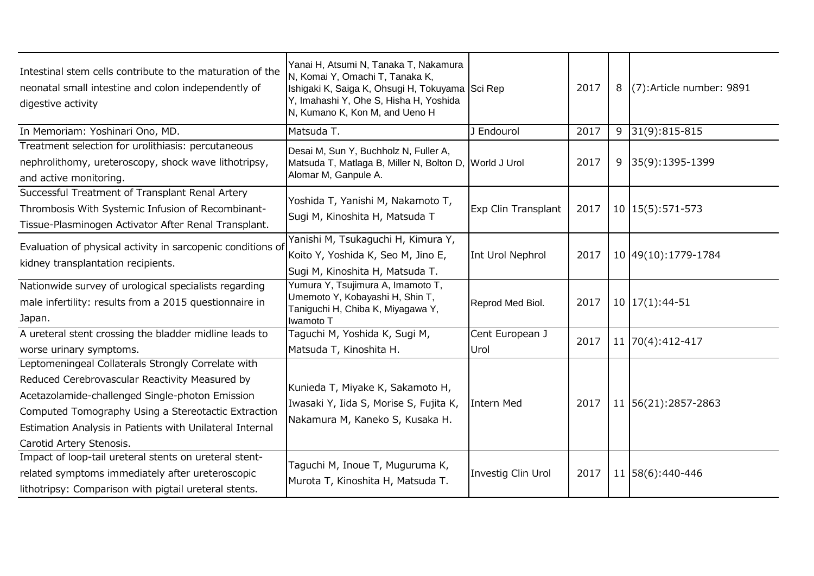| Intestinal stem cells contribute to the maturation of the<br>neonatal small intestine and colon independently of<br>digestive activity                                                                                                                                                                 | Yanai H, Atsumi N, Tanaka T, Nakamura<br>N, Komai Y, Omachi T, Tanaka K,<br>Ishigaki K, Saiga K, Ohsugi H, Tokuyama Sci Rep<br>Y, Imahashi Y, Ohe S, Hisha H, Yoshida<br>N, Kumano K, Kon M, and Ueno H |                         | 2017 | 8 (7): Article number: 9891 |
|--------------------------------------------------------------------------------------------------------------------------------------------------------------------------------------------------------------------------------------------------------------------------------------------------------|---------------------------------------------------------------------------------------------------------------------------------------------------------------------------------------------------------|-------------------------|------|-----------------------------|
| In Memoriam: Yoshinari Ono, MD.                                                                                                                                                                                                                                                                        | Matsuda T.                                                                                                                                                                                              | J Endourol              | 2017 | $9 31(9):815-815$           |
| Treatment selection for urolithiasis: percutaneous<br>nephrolithomy, ureteroscopy, shock wave lithotripsy,<br>and active monitoring.                                                                                                                                                                   | Desai M, Sun Y, Buchholz N, Fuller A,<br>Matsuda T, Matlaga B, Miller N, Bolton D, World J Urol<br>Alomar M, Ganpule A.                                                                                 |                         | 2017 | 9 35(9):1395-1399           |
| Successful Treatment of Transplant Renal Artery<br>Thrombosis With Systemic Infusion of Recombinant-<br>Tissue-Plasminogen Activator After Renal Transplant.                                                                                                                                           | Yoshida T, Yanishi M, Nakamoto T,<br>Sugi M, Kinoshita H, Matsuda T                                                                                                                                     | Exp Clin Transplant     | 2017 | 10   15 (5): 571 - 573      |
| Evaluation of physical activity in sarcopenic conditions of<br>kidney transplantation recipients.                                                                                                                                                                                                      | Yanishi M, Tsukaguchi H, Kimura Y,<br>Koito Y, Yoshida K, Seo M, Jino E,<br>Sugi M, Kinoshita H, Matsuda T.                                                                                             | Int Urol Nephrol        | 2017 | 10 49 (10): 1779-1784       |
| Nationwide survey of urological specialists regarding<br>male infertility: results from a 2015 questionnaire in<br>Japan.                                                                                                                                                                              | Yumura Y, Tsujimura A, Imamoto T,<br>Umemoto Y, Kobayashi H, Shin T,<br>Taniguchi H, Chiba K, Miyagawa Y,<br>Iwamoto T                                                                                  | Reprod Med Biol.        | 2017 | $10 17(1):44-51$            |
| A ureteral stent crossing the bladder midline leads to<br>worse urinary symptoms.                                                                                                                                                                                                                      | Taguchi M, Yoshida K, Sugi M,<br>Matsuda T, Kinoshita H.                                                                                                                                                | Cent European J<br>Urol | 2017 | 11 70(4):412-417            |
| Leptomeningeal Collaterals Strongly Correlate with<br>Reduced Cerebrovascular Reactivity Measured by<br>Acetazolamide-challenged Single-photon Emission<br>Computed Tomography Using a Stereotactic Extraction<br>Estimation Analysis in Patients with Unilateral Internal<br>Carotid Artery Stenosis. | Kunieda T, Miyake K, Sakamoto H,<br>Iwasaki Y, Iida S, Morise S, Fujita K,<br>Nakamura M, Kaneko S, Kusaka H.                                                                                           | Intern Med              | 2017 | 11 56(21):2857-2863         |
| Impact of loop-tail ureteral stents on ureteral stent-<br>related symptoms immediately after ureteroscopic<br>lithotripsy: Comparison with pigtail ureteral stents.                                                                                                                                    | Taguchi M, Inoue T, Muguruma K,<br>Murota T, Kinoshita H, Matsuda T.                                                                                                                                    | Investig Clin Urol      | 2017 | 11 58(6):440-446            |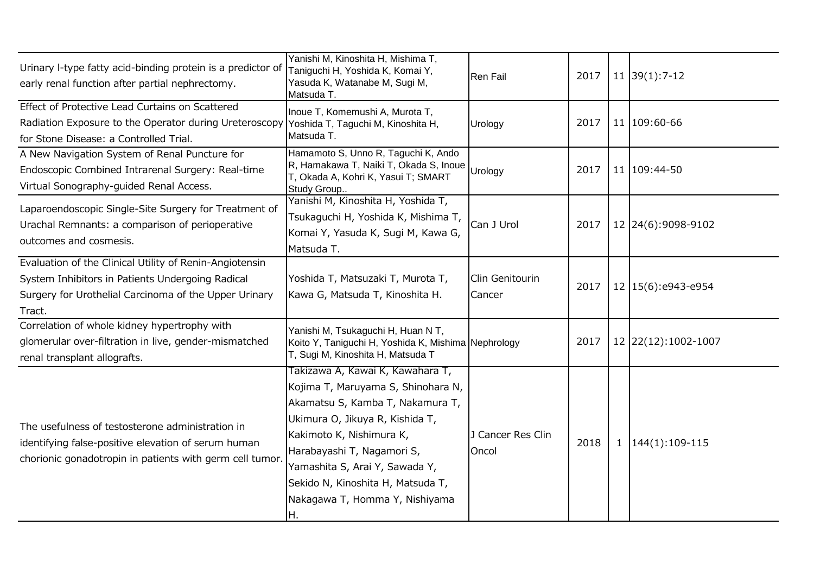| Urinary I-type fatty acid-binding protein is a predictor of<br>early renal function after partial nephrectomy.                                                                 | Yanishi M, Kinoshita H, Mishima T,<br>Taniguchi H, Yoshida K, Komai Y,<br>Yasuda K, Watanabe M, Sugi M,<br>Matsuda T.                                                                                                                                                                                                  | <b>Ren Fail</b>            | 2017 | $11 \overline{39(1)}$ : 7-12 |
|--------------------------------------------------------------------------------------------------------------------------------------------------------------------------------|------------------------------------------------------------------------------------------------------------------------------------------------------------------------------------------------------------------------------------------------------------------------------------------------------------------------|----------------------------|------|------------------------------|
| Effect of Protective Lead Curtains on Scattered<br>Radiation Exposure to the Operator during Ureteroscopy<br>for Stone Disease: a Controlled Trial.                            | Inoue T, Komemushi A, Murota T,<br>Yoshida T, Taguchi M, Kinoshita H,<br>Matsuda T.                                                                                                                                                                                                                                    | Urology                    | 2017 | 11 109:60-66                 |
| A New Navigation System of Renal Puncture for<br>Endoscopic Combined Intrarenal Surgery: Real-time<br>Virtual Sonography-guided Renal Access.                                  | Hamamoto S, Unno R, Taguchi K, Ando<br>R, Hamakawa T, Naiki T, Okada S, Inoue<br>T, Okada A, Kohri K, Yasui T; SMART<br>Study Group                                                                                                                                                                                    | Urology                    | 2017 | 11 109:44-50                 |
| Laparoendoscopic Single-Site Surgery for Treatment of<br>Urachal Remnants: a comparison of perioperative<br>outcomes and cosmesis.                                             | Yanishi M, Kinoshita H, Yoshida T,<br>Tsukaguchi H, Yoshida K, Mishima T,<br>Komai Y, Yasuda K, Sugi M, Kawa G,<br>Matsuda T.                                                                                                                                                                                          | Can J Urol                 | 2017 | 12 24(6):9098-9102           |
| Evaluation of the Clinical Utility of Renin-Angiotensin<br>System Inhibitors in Patients Undergoing Radical<br>Surgery for Urothelial Carcinoma of the Upper Urinary<br>Tract. | Yoshida T, Matsuzaki T, Murota T,<br>Kawa G, Matsuda T, Kinoshita H.                                                                                                                                                                                                                                                   | Clin Genitourin<br>Cancer  | 2017 | 12 15(6):e943-e954           |
| Correlation of whole kidney hypertrophy with<br>glomerular over-filtration in live, gender-mismatched<br>renal transplant allografts.                                          | Yanishi M, Tsukaguchi H, Huan N T,<br>Koito Y, Taniguchi H, Yoshida K, Mishima Nephrology<br>T, Sugi M, Kinoshita H, Matsuda T                                                                                                                                                                                         |                            | 2017 | 12 22 (12): 1002-1007        |
| The usefulness of testosterone administration in<br>identifying false-positive elevation of serum human<br>chorionic gonadotropin in patients with germ cell tumor.            | Takizawa A, Kawai K, Kawahara T,<br>Kojima T, Maruyama S, Shinohara N,<br>Akamatsu S, Kamba T, Nakamura T,<br>Ukimura O, Jikuya R, Kishida T,<br>Kakimoto K, Nishimura K,<br>Harabayashi T, Nagamori S,<br>Yamashita S, Arai Y, Sawada Y,<br>Sekido N, Kinoshita H, Matsuda T,<br>Nakagawa T, Homma Y, Nishiyama<br>H. | J Cancer Res Clin<br>Oncol | 2018 | $1   144(1):109-115$         |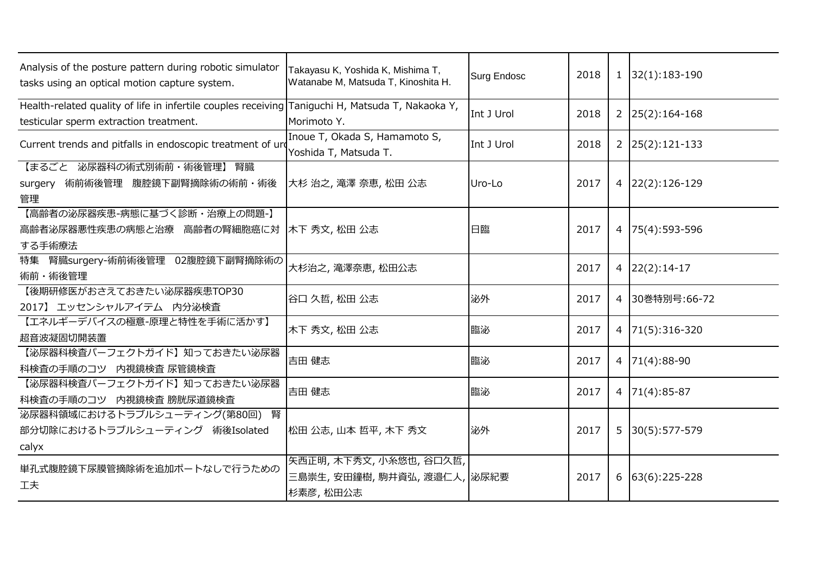| Analysis of the posture pattern during robotic simulator<br>tasks using an optical motion capture system.                                  | Takayasu K, Yoshida K, Mishima T,<br>Watanabe M, Matsuda T, Kinoshita H. | <b>Surg Endosc</b> | 2018 |   | $1 \mid 32(1):183-190$ |
|--------------------------------------------------------------------------------------------------------------------------------------------|--------------------------------------------------------------------------|--------------------|------|---|------------------------|
| Health-related quality of life in infertile couples receiving Taniguchi H, Matsuda T, Nakaoka Y,<br>testicular sperm extraction treatment. | Morimoto Y.                                                              | Int J Urol         | 2018 |   | $2 \mid 25(2):164-168$ |
| Current trends and pitfalls in endoscopic treatment of ure                                                                                 | Inoue T, Okada S, Hamamoto S,<br>Yoshida T, Matsuda T.                   | Int J Urol         | 2018 |   | $2 \mid 25(2):121-133$ |
| 【まるごと 泌尿器科の術式別術前・術後管理】 腎臓<br>腹腔鏡下副腎摘除術の術前・術後<br>術前術後管理<br>surgery<br>管理                                                                    | 大杉 治之,滝澤 奈恵,松田 公志                                                        | Uro-Lo             | 2017 |   | $4$   22(2): 126-129   |
| 【高齢者の泌尿器疾患-病態に基づく診断・治療上の問題-】<br>高齢者泌尿器悪性疾患の病態と治療 高齢者の腎細胞癌に対<br>する手術療法                                                                      | 木下 秀文, 松田 公志                                                             | 日臨                 | 2017 |   | 4 75(4):593-596        |
| 02腹腔鏡下副腎摘除術の<br>腎臓surgery-術前術後管理<br>特集<br>術前·術後管理                                                                                          | 大杉治之, 滝澤奈恵, 松田公志                                                         |                    | 2017 |   | $4 \mid 22(2):14-17$   |
| 【後期研修医がおさえておきたい泌尿器疾患TOP30<br>2017】エッセンシャルアイテム 内分泌検査                                                                                        | 谷口 久哲, 松田 公志                                                             | 泌外                 | 2017 |   | 4 30巻特別号:66-72         |
| 【エネルギーデバイスの極意-原理と特性を手術に活かす】<br>超音波凝固切開装置                                                                                                   | 木下 秀文, 松田 公志                                                             | 臨泌                 | 2017 |   | 4 71(5):316-320        |
| 【泌尿器科検査パーフェクトガイド】知っておきたい泌尿器<br>科検査の手順のコツ<br>内視鏡検査 尿管鏡検査                                                                                    | 吉田 健志                                                                    | 臨泌                 | 2017 |   | $4 71(4):88-90$        |
| 【泌尿器科検査パーフェクトガイド】知っておきたい泌尿器<br>科検査の手順のコツ 内視鏡検査 膀胱尿道鏡検査                                                                                     | 吉田 健志                                                                    | 臨泌                 | 2017 |   | 4   $71(4):85-87$      |
| 泌尿器科領域におけるトラブルシューティング(第80回) 腎<br>部分切除におけるトラブルシューティング 術後Isolated<br>calyx                                                                   | 松田 公志, 山本 哲平, 木下 秀文                                                      | 泌外                 | 2017 | 5 | 30(5):577-579          |
| 単孔式腹腔鏡下尿膜管摘除術を追加ポートなしで行うための<br>工夫                                                                                                          | 矢西正明, 木下秀文, 小糸悠也, 谷口久哲,<br>三島崇生,安田鐘樹,駒井資弘,渡邉仁人, 泌尿紀要<br>杉素彦, 松田公志        |                    | 2017 | 6 | $63(6):225-228$        |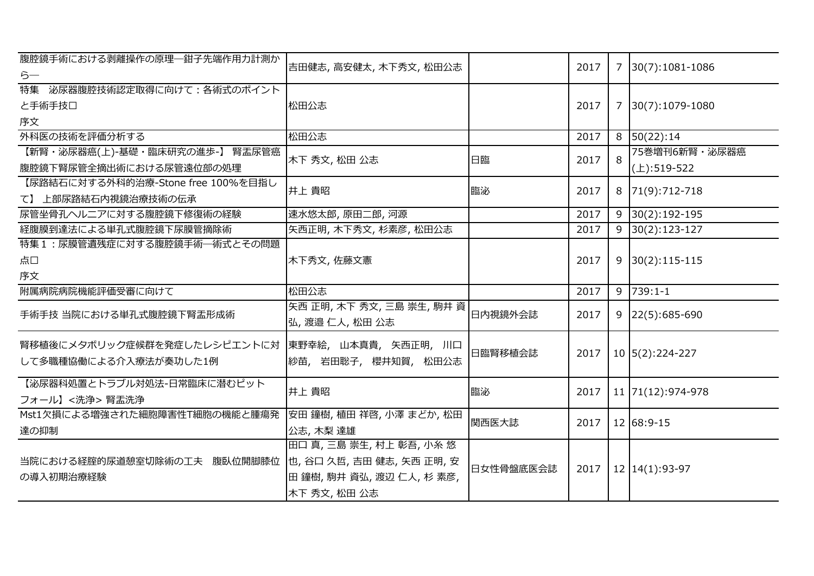| 腹腔鏡手術における剥離操作の原理–鉗子先端作用力計測か<br>らー                                           | 吉田健志, 高安健太, 木下秀文, 松田公志                                                                             |           | 2017 |   | 7 30(7):1081-1086            |
|-----------------------------------------------------------------------------|----------------------------------------------------------------------------------------------------|-----------|------|---|------------------------------|
| 特集 泌尿器腹腔技術認定取得に向けて:各術式のポイント<br>と手術手技口<br>序文                                 | 松田公志                                                                                               |           | 2017 |   | 7 30(7):1079-1080            |
| 外科医の技術を評価分析する                                                               | 松田公志                                                                                               |           | 2017 |   | 8 50(22):14                  |
| 【新腎・泌尿器癌(上)-基礎・臨床研究の進歩-】 腎盂尿管癌<br>腹腔鏡下腎尿管全摘出術における尿管遠位部の処理                   | 木下 秀文, 松田 公志                                                                                       | 日臨        | 2017 | 8 | 75巻増刊6新腎·泌尿器癌<br>(上):519-522 |
| 【尿路結石に対する外科的治療-Stone free 100%を目指し<br>て】 上部尿路結石内視鏡治療技術の伝承                   | 井上 貴昭                                                                                              | 臨泌        | 2017 |   | 8 71(9):712-718              |
| 尿管坐骨孔ヘルニアに対する腹腔鏡下修復術の経験                                                     | 速水悠太郎, 原田二郎, 河源                                                                                    |           | 2017 |   | $9 30(2):192-195$            |
| 経腹膜到達法による単孔式腹腔鏡下尿膜管摘除術                                                      | 矢西正明, 木下秀文, 杉素彦, 松田公志                                                                              |           | 2017 |   | $9 30(2):123-127$            |
| 特集1:尿膜管遺残症に対する腹腔鏡手術––術式とその問題<br>点口<br>序文                                    | 木下秀文, 佐藤文憲                                                                                         |           | 2017 |   | $9 30(2):115-115$            |
| 附属病院病院機能評価受審に向けて                                                            | 松田公志                                                                                               |           | 2017 |   | $9$ 739:1-1                  |
| 手術手技 当院における単孔式腹腔鏡下腎盂形成術                                                     | 矢西 正明, 木下 秀文, 三島 崇生, 駒井 資<br>弘,渡邉仁人,松田公志                                                           | 日内視鏡外会誌   | 2017 |   | $9$   22(5):685-690          |
| 腎移植後にメタボリック症候群を発症したレシピエントに対   東野幸絵, 山本真貴, 矢西正明, 川口<br>して多職種協働による介入療法が奏功した1例 | 紗苗, 岩田聡子, 櫻井知賀, 松田公志                                                                               | 日臨腎移植会誌   | 2017 |   | 10 5(2):224-227              |
| 【泌尿器科処置とトラブル対処法-日常臨床に潜むピット<br>フォール】<洗浄>腎盂洗浄                                 | 井上 貴昭                                                                                              | 臨泌        | 2017 |   | 11 71(12):974-978            |
| Mst1欠損による増強された細胞障害性T細胞の機能と腫瘍発<br>達の抑制                                       | 安田 鐘樹, 植田 祥啓, 小澤 まどか, 松田<br>公志, 木梨 達雄                                                              | 関西医大誌     | 2017 |   | 12 68:9-15                   |
| 当院における経腟的尿道憩室切除術の工夫 腹臥位開脚膝位<br>の導入初期治療経験                                    | 田口 真, 三島 崇生, 村上 彰吾, 小糸 悠<br>也, 谷口 久哲, 吉田 健志, 矢西 正明, 安<br>田 鐘樹, 駒井 資弘, 渡辺 仁人, 杉 素彦,<br>木下 秀文, 松田 公志 | 日女性骨盤底医会誌 | 2017 |   | 12 14(1):93-97               |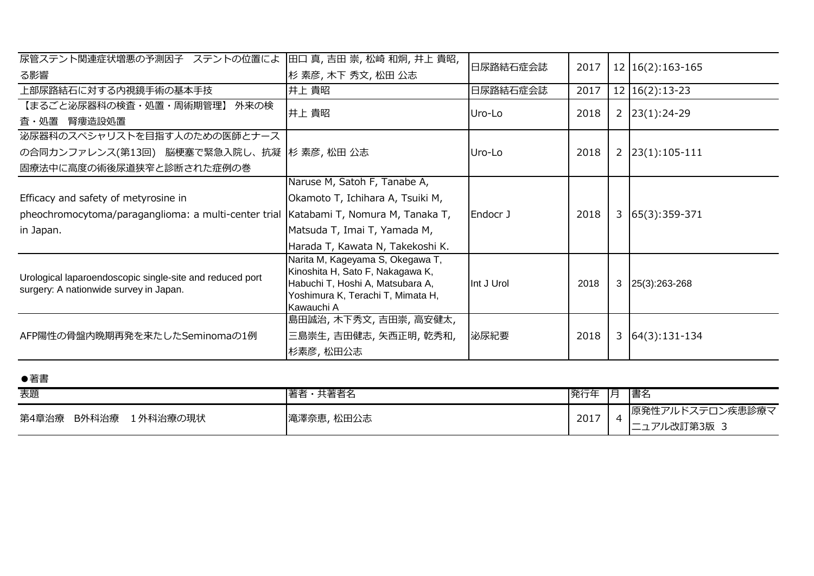| 尿管ステント関連症状増悪の予測因子 ステントの位置によ                                                                        | 田口 真,吉田 崇,松崎 和炯,井上 貴昭,                                                                                                                                      | 日尿路結石症会誌   | 2017 |   |                     |
|----------------------------------------------------------------------------------------------------|-------------------------------------------------------------------------------------------------------------------------------------------------------------|------------|------|---|---------------------|
| る影響                                                                                                | 杉 素彦, 木下 秀文, 松田 公志                                                                                                                                          |            |      |   | 12   16(2): 163-165 |
| 上部尿路結石に対する内視鏡手術の基本手技                                                                               | 井上 貴昭                                                                                                                                                       | 日尿路結石症会誌   | 2017 |   | $12   16(2):13-23$  |
| 【まるごと泌尿器科の検査・処置・周術期管理】<br>外来の検                                                                     | 井上 貴昭                                                                                                                                                       | Uro-Lo     | 2018 | 2 | $23(1):24-29$       |
| 腎瘻造設処置<br>査・処置                                                                                     |                                                                                                                                                             |            |      |   |                     |
| 泌尿器科のスペシャリストを目指す人のための医師とナース                                                                        |                                                                                                                                                             |            |      |   |                     |
| の合同カンファレンス(第13回) 脳梗塞で緊急入院し、抗凝  杉 素彦, 松田 公志                                                         |                                                                                                                                                             | Uro-Lo     | 2018 | 2 | $ 23(1):105-111$    |
| 固療法中に高度の術後尿道狭窄と診断された症例の巻                                                                           |                                                                                                                                                             |            |      |   |                     |
|                                                                                                    | Naruse M, Satoh F, Tanabe A,                                                                                                                                |            |      |   |                     |
| Efficacy and safety of metyrosine in                                                               | Okamoto T, Ichihara A, Tsuiki M,                                                                                                                            |            |      |   |                     |
| pheochromocytoma/paraganglioma: a multi-center trial                                               | Katabami T, Nomura M, Tanaka T,                                                                                                                             | Endocr J   | 2018 | 3 | $65(3):359-371$     |
| in Japan.                                                                                          | Matsuda T, Imai T, Yamada M,                                                                                                                                |            |      |   |                     |
|                                                                                                    | Harada T, Kawata N, Takekoshi K.                                                                                                                            |            |      |   |                     |
| Urological laparoendoscopic single-site and reduced port<br>surgery: A nationwide survey in Japan. | Narita M, Kageyama S, Okegawa T,<br>Kinoshita H, Sato F, Nakagawa K,<br>Habuchi T, Hoshi A, Matsubara A,<br>Yoshimura K, Terachi T, Mimata H,<br>Kawauchi A | Int J Urol | 2018 | 3 | 25(3):263-268       |
| AFP陽性の骨盤内晩期再発を来たしたSeminomaの1例                                                                      | 島田誠治, 木下秀文, 吉田崇, 高安健太,<br>三島崇生,吉田健志,矢西正明,乾秀和,<br>杉素彦, 松田公志                                                                                                  | 泌尿紀要       | 2018 | 3 | $64(3):131-134$     |

| ●著書                     |            |      |    |                                 |
|-------------------------|------------|------|----|---------------------------------|
| 表題                      | 著者・共著者名    | 発行年  | 一月 | 書名                              |
| 第4章治療 B外科治療<br>1外科治療の現状 | 滝澤奈恵, 松田公志 | 2017 |    | 原発性アルドステロン疾患診療マ<br> ニュアル改訂第3版 3 |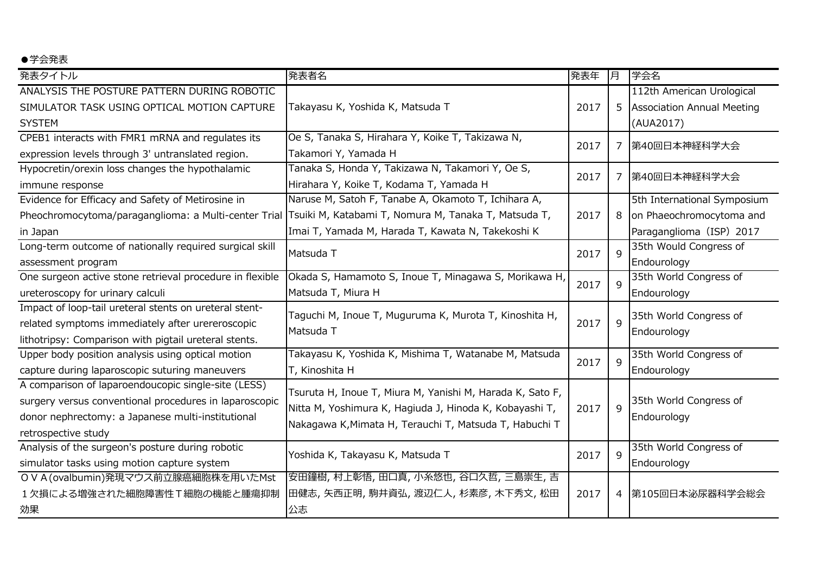## ●学会発表

| 発表タイトル                                                                                     | 発表者名                                                      | 発表年  | 月            | 学会名                                                       |
|--------------------------------------------------------------------------------------------|-----------------------------------------------------------|------|--------------|-----------------------------------------------------------|
| ANALYSIS THE POSTURE PATTERN DURING ROBOTIC<br>SIMULATOR TASK USING OPTICAL MOTION CAPTURE | Takayasu K, Yoshida K, Matsuda T                          | 2017 |              | 112th American Urological<br>5 Association Annual Meeting |
| <b>SYSTEM</b>                                                                              |                                                           |      |              | (AUA2017)                                                 |
| CPEB1 interacts with FMR1 mRNA and regulates its                                           | Oe S, Tanaka S, Hirahara Y, Koike T, Takizawa N,          | 2017 |              | 第40回日本神経科学大会                                              |
| expression levels through 3' untranslated region.                                          | Takamori Y, Yamada H                                      |      | 7            |                                                           |
| Hypocretin/orexin loss changes the hypothalamic                                            | Tanaka S, Honda Y, Takizawa N, Takamori Y, Oe S,          | 2017 | 7            | 第40回日本神経科学大会                                              |
| immune response                                                                            | Hirahara Y, Koike T, Kodama T, Yamada H                   |      |              |                                                           |
| Evidence for Efficacy and Safety of Metirosine in                                          | Naruse M, Satoh F, Tanabe A, Okamoto T, Ichihara A,       |      |              | 5th International Symposium                               |
| Pheochromocytoma/paraganglioma: a Multi-center Trial                                       | Tsuiki M, Katabami T, Nomura M, Tanaka T, Matsuda T,      | 2017 | 8            | on Phaeochromocytoma and                                  |
| in Japan                                                                                   | Imai T, Yamada M, Harada T, Kawata N, Takekoshi K         |      |              | Paraganglioma (ISP) 2017                                  |
| Long-term outcome of nationally required surgical skill                                    | Matsuda T                                                 | 2017 | 9            | 35th Would Congress of                                    |
| assessment program                                                                         |                                                           |      |              | Endourology                                               |
| One surgeon active stone retrieval procedure in flexible                                   | Okada S, Hamamoto S, Inoue T, Minagawa S, Morikawa H,     | 2017 | $\mathsf{Q}$ | 35th World Congress of                                    |
| ureteroscopy for urinary calculi                                                           | Matsuda T, Miura H                                        |      |              | Endourology                                               |
| Impact of loop-tail ureteral stents on ureteral stent-                                     | Taguchi M, Inoue T, Muguruma K, Murota T, Kinoshita H,    |      |              | 35th World Congress of                                    |
| related symptoms immediately after urereroscopic                                           | Matsuda T                                                 | 2017 | 9            | Endourology                                               |
| lithotripsy: Comparison with pigtail ureteral stents.                                      |                                                           |      |              |                                                           |
| Upper body position analysis using optical motion                                          | Takayasu K, Yoshida K, Mishima T, Watanabe M, Matsuda     | 2017 | $\mathsf{q}$ | 35th World Congress of                                    |
| capture during laparoscopic suturing maneuvers                                             | T, Kinoshita H                                            |      |              | Endourology                                               |
| A comparison of laparoendoucopic single-site (LESS)                                        | Tsuruta H, Inoue T, Miura M, Yanishi M, Harada K, Sato F, |      |              |                                                           |
| surgery versus conventional procedures in laparoscopic                                     | Nitta M, Yoshimura K, Hagiuda J, Hinoda K, Kobayashi T,   | 2017 | $\mathsf{q}$ | 35th World Congress of                                    |
| donor nephrectomy: a Japanese multi-institutional                                          | Nakagawa K, Mimata H, Terauchi T, Matsuda T, Habuchi T    |      |              | Endourology                                               |
| retrospective study                                                                        |                                                           |      |              |                                                           |
| Analysis of the surgeon's posture during robotic                                           | Yoshida K, Takayasu K, Matsuda T                          | 2017 | 9            | 35th World Congress of                                    |
| simulator tasks using motion capture system                                                |                                                           |      |              | Endourology                                               |
| OVA(ovalbumin)発現マウス前立腺癌細胞株を用いたMst                                                          | 安田鐘樹, 村上彰悟, 田口真, 小糸悠也, 谷口久哲, 三島崇生, 吉                      |      |              |                                                           |
| 1欠損による増強された細胞障害性T細胞の機能と腫瘍抑制                                                                | 田健志, 矢西正明, 駒井資弘, 渡辺仁人, 杉素彦, 木下秀文, 松田                      | 2017 |              | 4  第105回日本泌尿器科学会総会                                        |
| 効果                                                                                         | 公志                                                        |      |              |                                                           |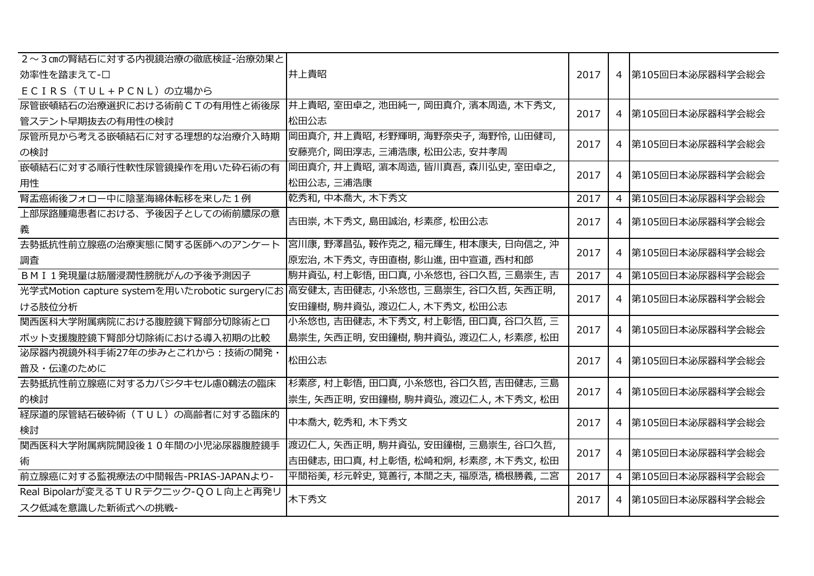| 2~3cmの腎結石に対する内視鏡治療の徹底検証-治療効果と      |                                                                                   |      |                    |
|------------------------------------|-----------------------------------------------------------------------------------|------|--------------------|
| 効率性を踏まえて-口                         | 井上貴昭                                                                              | 2017 | 4  第105回日本泌尿器科学会総会 |
| ECIRS (TUL+PCNL)の立場から              |                                                                                   |      |                    |
|                                    | 尿管嵌頓結石の治療選択における術前CTの有用性と術後尿  井上貴昭,室田卓之,池田純一,岡田真介,濱本周造,木下秀文,                       | 2017 | 4 第105回日本泌尿器科学会総会  |
| 管ステント早期抜去の有用性の検討                   | 松田公志                                                                              |      |                    |
| 尿管所見から考える嵌頓結石に対する理想的な治療介入時期        | 岡田真介,井上貴昭,杉野輝明,海野奈央子,海野怜,山田健司,                                                    | 2017 | 4 第105回日本泌尿器科学会総会  |
| の検討                                | 安藤亮介, 岡田淳志, 三浦浩康, 松田公志, 安井孝周                                                      |      |                    |
| 嵌頓結石に対する順行性軟性尿管鏡操作を用いた砕石術の有        | 岡田真介,井上貴昭,濵本周造,皆川真吾,森川弘史,室田卓之,                                                    | 2017 | 4 第105回日本泌尿器科学会総会  |
| 用性                                 | 松田公志, 三浦浩康                                                                        |      |                    |
| 腎盂癌術後フォロー中に陰茎海綿体転移を来した1例           | 乾秀和,中本喬大,木下秀文                                                                     | 2017 | 4 第105回日本泌尿器科学会総会  |
| 上部尿路腫瘍患者における、予後因子としての術前膿尿の意        | 吉田崇, 木下秀文, 島田誠治, 杉素彦, 松田公志                                                        |      |                    |
| 義                                  |                                                                                   | 2017 | 4  第105回日本泌尿器科学会総会 |
| 去勢抵抗性前立腺癌の治療実態に関する医師へのアンケート        | 宮川康, 野澤昌弘, 鞍作克之, 稲元輝生, 柑本康夫, 日向信之, 沖                                              |      |                    |
| 調査                                 | 原宏治, 木下秀文, 寺田直樹, 影山進, 田中宣道, 西村和郎                                                  | 2017 | 4  第105回日本泌尿器科学会総会 |
| BMI1発現量は筋層浸潤性膀胱がんの予後予測因子           | 駒井資弘, 村上彰悟, 田口真, 小糸悠也, 谷口久哲, 三島崇生, 吉                                              | 2017 | 4 第105回日本泌尿器科学会総会  |
|                                    | 光学式Motion capture systemを用いたrobotic surgeryにお 高安健太, 吉田健志, 小糸悠也, 三島崇生, 谷口久哲, 矢西正明, | 2017 |                    |
| ける肢位分析                             | 安田鐘樹, 駒井資弘, 渡辺仁人, 木下秀文, 松田公志                                                      |      | 4 第105回日本泌尿器科学会総会  |
| 関西医科大学附属病院における腹腔鏡下腎部分切除術と口         | 小糸悠也, 吉田健志, 木下秀文, 村上彰悟, 田口真, 谷口久哲, 三                                              |      |                    |
| ボット支援腹腔鏡下腎部分切除術における導入初期の比較         | 島崇生, 矢西正明, 安田鐘樹, 駒井資弘, 渡辺仁人, 杉素彦, 松田                                              | 2017 | 4  第105回日本泌尿器科学会総会 |
| 泌尿器内視鏡外科手術27年の歩みとこれから:技術の開発        | 松田公志                                                                              |      |                    |
| 普及・伝達のために                          |                                                                                   | 2017 | 4 第105回日本泌尿器科学会総会  |
| 去勢抵抗性前立腺癌に対するカバジタキセル慮0鵜法の臨床        | 杉素彦, 村上彰悟, 田口真, 小糸悠也, 谷口久哲, 吉田健志, 三島                                              |      |                    |
| 的検討                                | 崇生,矢西正明,安田鐘樹,駒井資弘,渡辺仁人,木下秀文,松田                                                    | 2017 | 4  第105回日本泌尿器科学会総会 |
| 経尿道的尿管結石破砕術 (TUL) の高齢者に対する臨床的      | 中本喬大, 乾秀和, 木下秀文                                                                   |      |                    |
| 検討                                 |                                                                                   | 2017 | 4  第105回日本泌尿器科学会総会 |
| 関西医科大学附属病院開設後10年間の小児泌尿器腹腔鏡手        | 渡辺仁人, 矢西正明, 駒井資弘, 安田鐘樹, 三島崇生, 谷口久哲,                                               |      |                    |
| 術                                  | 吉田健志,田口真,村上彰悟,松崎和炯,杉素彦,木下秀文,松田                                                    | 2017 | 4 第105回日本泌尿器科学会総会  |
| 前立腺癌に対する監視療法の中間報告-PRIAS-JAPANより-   | 平間裕美, 杉元幹史, 筧善行, 本間之夫, 福原浩, 橋根勝義, 二宮                                              | 2017 | 4 第105回日本泌尿器科学会総会  |
| Real Bipolarが変えるTURテクニック-QOL向上と再発リ |                                                                                   |      |                    |
| スク低減を意識した新術式への挑戦-                  | 木下秀文                                                                              | 2017 | 4 第105回日本泌尿器科学会総会  |
|                                    |                                                                                   |      |                    |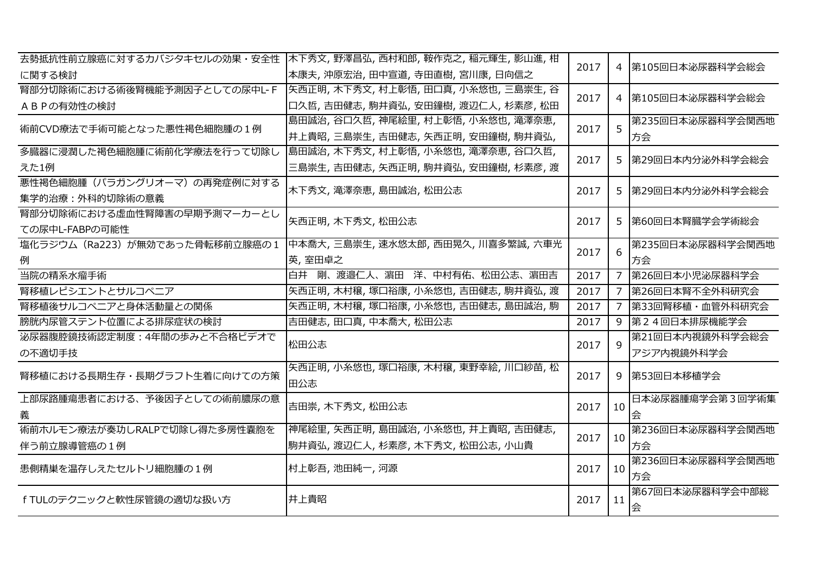|                                 | 去勢抵抗性前立腺癌に対するカバジタキセルの効果・安全性  木下秀文, 野澤昌弘, 西村和郎, 鞍作克之, 稲元輝生, 影山進, 柑  | 2017 |    | 4  第105回日本泌尿器科学会総会 |
|---------------------------------|--------------------------------------------------------------------|------|----|--------------------|
| に関する検討                          | 本康夫,沖原宏治,田中宣道,寺田直樹,宮川康,日向信之                                        |      |    |                    |
|                                 | 腎部分切除術における術後腎機能予測因子としての尿中L-F  矢西正明, 木下秀文, 村上彰悟, 田口真, 小糸悠也, 三島崇生, 谷 | 2017 |    | 4  第105回日本泌尿器科学会総会 |
| ABPの有効性の検討                      | 口久哲,吉田健志,駒井資弘,安田鐘樹,渡辺仁人,杉素彦,松田                                     |      |    |                    |
| 術前CVD療法で手術可能となった悪性褐色細胞腫の1例      | 島田誠治,谷口久哲,神尾絵里,村上彰悟,小糸悠也,滝澤奈恵,                                     | 2017 | 5  | 第235回日本泌尿器科学会関西地   |
|                                 | 井上貴昭,三島崇生,吉田健志,矢西正明,安田鐘樹,駒井資弘,                                     |      |    | 方会                 |
| 多臓器に浸潤した褐色細胞腫に術前化学療法を行って切除し     | 島田誠治, 木下秀文, 村上彰悟, 小糸悠也, 滝澤奈恵, 谷口久哲,                                | 2017 |    |                    |
| えた1例                            | 三島崇生,吉田健志,矢西正明,駒井資弘,安田鐘樹,杉素彦,渡                                     |      |    | 5  第29回日本内分泌外科学会総会 |
| 悪性褐色細胞腫(パラガングリオーマ)の再発症例に対する     | 木下秀文, 滝澤奈恵, 島田誠治, 松田公志                                             | 2017 |    |                    |
| 集学的治療:外科的切除術の意義                 |                                                                    |      |    | 5  第29回日本内分泌外科学会総会 |
| 腎部分切除術における虚血性腎障害の早期予測マーカーとし     | 矢西正明, 木下秀文, 松田公志                                                   | 2017 |    | 5  第60回日本腎臓学会学術総会  |
| ての尿中L-FABPの可能性                  |                                                                    |      |    |                    |
| 塩化ラジウム (Ra223) が無効であった骨転移前立腺癌の1 | 中本喬大,三島崇生,速水悠太郎,西田晃久,川喜多繁誠,六車光                                     | 2017 | 6  | 第235回日本泌尿器科学会関西地   |
| 例                               | 英,室田卓之                                                             |      |    | 方会                 |
| 当院の精系水瘤手術                       | 白井 剛、渡邉仁人、濵田 洋、中村有佑、松田公志、濵田吉                                       | 2017 |    | 7 第26回日本小児泌尿器科学会   |
| 腎移植レピシエントとサルコペニア                | 矢西正明,木村穣,塚口裕康,小糸悠也,吉田健志,駒井資弘,渡                                     | 2017 |    | 7 第26回日本腎不全外科研究会   |
| 腎移植後サルコペニアと身体活動量との関係            | 矢西正明,木村穣,塚口裕康,小糸悠也,吉田健志,島田誠治,駒                                     | 2017 |    | 7 第33回腎移植・血管外科研究会  |
| 膀胱内尿管ステント位置による排尿症状の検討           | 吉田健志,田口真,中本喬大,松田公志                                                 | 2017 |    | 9 第24回日本排尿機能学会     |
| 泌尿器腹腔鏡技術認定制度: 4年間の歩みと不合格ビデオで    | 松田公志                                                               | 2017 | 9  | 第21回日本内視鏡外科学会総会    |
| の不適切手技                          |                                                                    |      |    | アジア内視鏡外科学会         |
| 腎移植における長期生存・長期グラフト生着に向けての方策     | 矢西正明,小糸悠也,塚口裕康,木村穣,東野幸絵,川口紗苗,松                                     | 2017 | 9. | 第53回日本移植学会         |
|                                 | 田公志                                                                |      |    |                    |
| 上部尿路腫瘍患者における、予後因子としての術前膿尿の意     | 吉田崇, 木下秀文, 松田公志                                                    | 2017 | 10 | 日本泌尿器腫瘍学会第3回学術集    |
| 義                               |                                                                    |      |    | 会                  |
| 術前ホルモン療法が奏功しRALPで切除し得た多房性嚢胞を    | 神尾絵里,矢西正明,島田誠治,小糸悠也,井上貴昭,吉田健志,                                     | 2017 | 10 | 第236回日本泌尿器科学会関西地   |
| 伴う前立腺導管癌の1例                     | 駒井資弘,渡辺仁人,杉素彦,木下秀文,松田公志,小山貴                                        |      |    | 方会                 |
| 患側精巣を温存しえたセルトリ細胞腫の1例            | 村上彰吾,池田純一,河源                                                       | 2017 | 10 | 第236回日本泌尿器科学会関西地   |
|                                 |                                                                    |      |    | 方会                 |
| fTULのテクニックと軟性尿管鏡の適切な扱い方         | 井上貴昭                                                               | 2017 | 11 | 第67回日本泌尿器科学会中部総    |
|                                 |                                                                    |      |    | 会                  |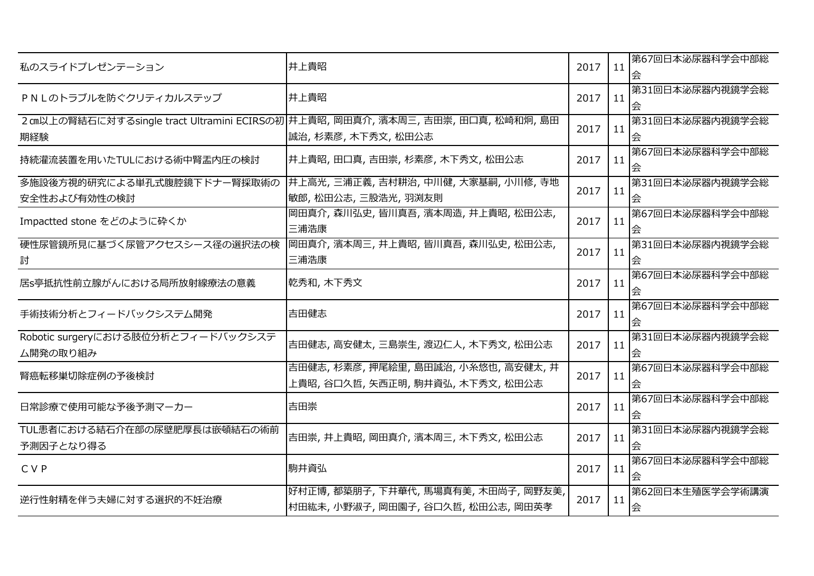| 私のスライドプレゼンテーション                                | 井上貴昭                                                                                                   | 2017 | 11 | 第67回日本泌尿器科学会中部総<br>会 |
|------------------------------------------------|--------------------------------------------------------------------------------------------------------|------|----|----------------------|
| PNLのトラブルを防ぐクリティカルステップ                          | 井上貴昭                                                                                                   | 2017 | 11 | 第31回日本泌尿器内視鏡学会総<br>会 |
| 期経験                                            | 2 cm以上の腎結石に対するsingle tract Ultramini ECIRSの初井上貴昭, 岡田真介, 濱本周三, 吉田崇, 田口真, 松崎和炯, 島田<br>誠治,杉素彦, 木下秀文, 松田公志 | 2017 | 11 | 第31回日本泌尿器内視鏡学会総      |
| 持続灌流装置を用いたTULにおける術中腎盂内圧の検討                     | 井上貴昭,田口真,吉田崇,杉素彦,木下秀文,松田公志                                                                             | 2017 | 11 | 第67回日本泌尿器科学会中部総<br>会 |
| 多施設後方視的研究による単孔式腹腔鏡下ドナー腎採取術の<br>安全性および有効性の検討    | 井上高光,三浦正義,吉村耕治,中川健,大家基嗣,小川修,寺地<br>敏郎, 松田公志, 三股浩光, 羽渕友則                                                 | 2017 | 11 | 第31回日本泌尿器内視鏡学会総<br>会 |
| Impactted stone をどのように砕くか                      | 岡田真介,森川弘史,皆川真吾,濱本周造,井上貴昭,松田公志,<br>三浦浩康                                                                 | 2017 | 11 | 第67回日本泌尿器科学会中部総<br>会 |
| 討                                              | 硬性尿管鏡所見に基づく尿管アクセスシース径の選択法の検  岡田真介, 濱本周三, 井上貴昭, 皆川真吾, 森川弘史, 松田公志,<br>三浦浩康                               | 2017 | 11 | 第31回日本泌尿器内視鏡学会総      |
| 居s亭抵抗性前立腺がんにおける局所放射線療法の意義                      | 乾秀和, 木下秀文                                                                                              | 2017 | 11 | 第67回日本泌尿器科学会中部総<br>会 |
| 手術技術分析とフィードバックシステム開発                           | 吉田健志                                                                                                   | 2017 | 11 | 第67回日本泌尿器科学会中部総      |
| Robotic surgeryにおける肢位分析とフィードバックシステ<br>ム開発の取り組み | 吉田健志, 高安健太, 三島崇生, 渡辺仁人, 木下秀文, 松田公志                                                                     | 2017 | 11 | 第31回日本泌尿器内視鏡学会総<br>佘 |
| 腎癌転移巣切除症例の予後検討                                 | 吉田健志, 杉素彦, 押尾絵里, 島田誠治, 小糸悠也, 高安健太, 井<br>上貴昭,谷口久哲,矢西正明,駒井資弘,木下秀文,松田公志                                   | 2017 | 11 | 第67回日本泌尿器科学会中部総      |
| 日常診療で使用可能な予後予測マーカー                             | 吉田崇                                                                                                    | 2017 | 11 | 第67回日本泌尿器科学会中部総<br>会 |
| TUL患者における結石介在部の尿壁肥厚長は嵌頓結石の術前<br>予測因子となり得る      | 吉田崇, 井上貴昭, 岡田真介, 濱本周三, 木下秀文, 松田公志                                                                      | 2017 | 11 | 第31回日本泌尿器内視鏡学会総      |
| C V P                                          | 駒井資弘                                                                                                   | 2017 | 11 | 第67回日本泌尿器科学会中部総<br>会 |
| 逆行性射精を伴う夫婦に対する選択的不妊治療                          | 好村正博,都築朋子,下井華代,馬場真有美,木田尚子,岡野友美,<br>村田紘未,小野淑子,岡田園子,谷口久哲,松田公志,岡田英孝                                       | 2017 | 11 | 第62回日本生殖医学会学術講演<br>会 |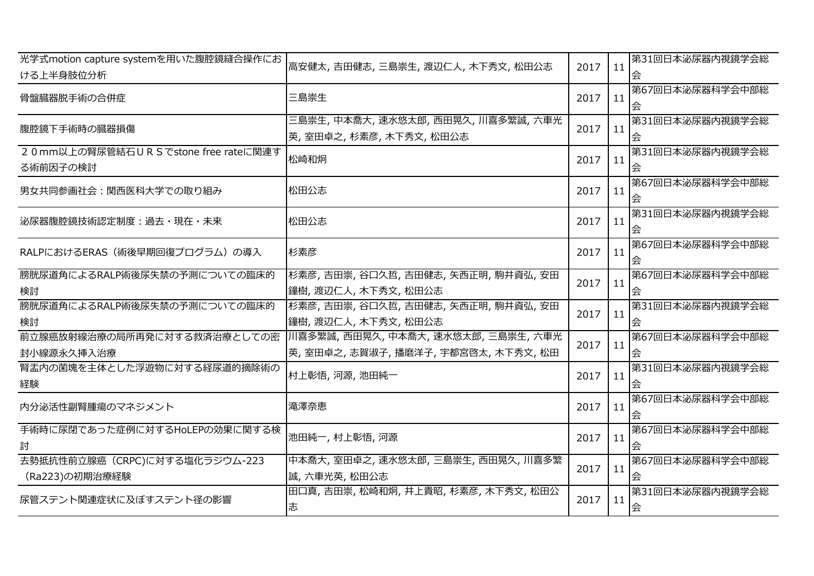| 光学式motion capture systemを用いた腹腔鏡縫合操作にお<br>ける上半身肢位分析 | 高安健太,吉田健志,三島崇生,渡辺仁人,木下秀文,松田公志                                                                        | 2017 | 11 | 第31回日本泌尿器内視鏡学会総<br>会 |
|----------------------------------------------------|------------------------------------------------------------------------------------------------------|------|----|----------------------|
| 骨盤臓器脱手術の合併症                                        | 三島崇生                                                                                                 | 2017 | 11 | 第67回日本泌尿器科学会中部総<br>会 |
| 腹腔鏡下手術時の臓器損傷                                       | 三島崇生, 中本喬大, 速水悠太郎, 西田晃久, 川喜多繁誠, 六車光<br> 英, 室田卓之, 杉素彦, 木下秀文, 松田公志                                     | 2017 | 11 | 第31回日本泌尿器内視鏡学会総      |
| 20mm以上の腎尿管結石URS でstone free rateに関連す<br>る術前因子の検討   | 松崎和炯                                                                                                 | 2017 | 11 | 第31回日本泌尿器内視鏡学会総      |
| 男女共同参画社会:関西医科大学での取り組み                              | 松田公志                                                                                                 | 2017 | 11 | 第67回日本泌尿器科学会中部総      |
| 泌尿器腹腔鏡技術認定制度:過去・現在・未来                              | 松田公志                                                                                                 | 2017 | 11 | 第31回日本泌尿器内視鏡学会総<br>会 |
| RALPにおけるERAS (術後早期回復プログラム)の導入                      | 杉素彦                                                                                                  | 2017 | 11 | 第67回日本泌尿器科学会中部総      |
| 膀胱尿道角によるRALP術後尿失禁の予測についての臨床的<br>検討                 | 杉素彦,吉田崇,谷口久哲,吉田健志,矢西正明,駒井資弘,安田<br> 鐘樹,渡辺仁人,木下秀文,松田公志                                                 | 2017 | 11 | 第67回日本泌尿器科学会中部総<br>会 |
| 膀胱尿道角によるRALP術後尿失禁の予測についての臨床的<br>検討                 | 杉素彦,吉田崇,谷口久哲,吉田健志,矢西正明,駒井資弘,安田<br> 鐘樹, 渡辺仁人, 木下秀文, 松田公志                                              | 2017 | 11 | 第31回日本泌尿器内視鏡学会総      |
| 封小線源永久挿入治療                                         | 前立腺癌放射線治療の局所再発に対する救済治療としての密  川喜多繁誠,西田晃久,中本喬大,速水悠太郎,三島崇生,六車光<br> 英, 室田卓之, 志賀淑子, 播磨洋子, 宇都宮啓太, 木下秀文, 松田 | 2017 | 11 | 第67回日本泌尿器科学会中部総      |
| 腎盂内の菌塊を主体とした浮遊物に対する経尿道的摘除術の<br>経験                  | 村上彰悟, 河源, 池田純一                                                                                       | 2017 | 11 | 第31回日本泌尿器内視鏡学会総      |
| 内分泌活性副腎腫瘍のマネジメント                                   | 滝澤奈恵                                                                                                 | 2017 | 11 | 第67回日本泌尿器科学会中部総      |
| 手術時に尿閉であった症例に対するHoLEPの効果に関する検<br>討                 | 池田純一, 村上彰悟, 河源                                                                                       | 2017 | 11 | 第67回日本泌尿器科学会中部総      |
| 去勢抵抗性前立腺癌 (CRPC)に対する塩化ラジウム-223<br>(Ra223)の初期治療経験   | 中本喬大,室田卓之,速水悠太郎,三島崇生,西田晃久,川喜多繁<br> 誠,六車光英,松田公志                                                       | 2017 | 11 | 第67回日本泌尿器科学会中部総      |
| 尿管ステント関連症状に及ぼすステント径の影響                             | 田口真,吉田崇,松崎和炯,井上貴昭,杉素彦,木下秀文,松田公<br>志                                                                  | 2017 | 11 | 第31回日本泌尿器内視鏡学会総<br>会 |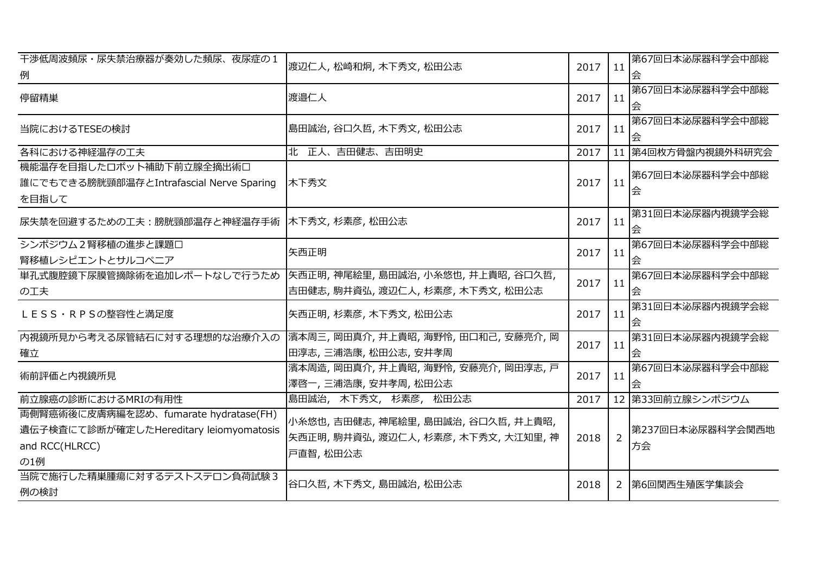| 干渉低周波頻尿・尿失禁治療器が奏効した頻尿、夜尿症の1<br>例                                                                          | 渡辺仁人, 松崎和炯, 木下秀文, 松田公志                                                              | 2017 | 11             | 第67回日本泌尿器科学会中部総        |
|-----------------------------------------------------------------------------------------------------------|-------------------------------------------------------------------------------------|------|----------------|------------------------|
| 停留精巣                                                                                                      | 渡邉仁人                                                                                | 2017 | 11             | 第67回日本泌尿器科学会中部総<br>会   |
| 当院におけるTESEの検討                                                                                             | 島田誠治,谷口久哲,木下秀文,松田公志                                                                 | 2017 | 11             | 第67回日本泌尿器科学会中部総<br>会   |
| 各科における神経温存の工夫                                                                                             | 北 正人、吉田健志、吉田明史                                                                      | 2017 |                | 11 第4回枚方骨盤内視鏡外科研究会     |
| 機能温存を目指したロボット補助下前立腺全摘出術口<br>誰にでもできる膀胱頸部温存とIntrafascial Nerve Sparing<br>を目指して                             | 木下秀文                                                                                | 2017 | 11             | 第67回日本泌尿器科学会中部総<br>会   |
| 尿失禁を回避するための工夫:膀胱頸部温存と神経温存手術                                                                               | 木下秀文, 杉素彦, 松田公志                                                                     | 2017 | 11             | 第31回日本泌尿器内視鏡学会総        |
| シンポジウム2腎移植の進歩と課題口<br>腎移植レシピエントとサルコペニア                                                                     | 矢西正明                                                                                | 2017 | 11             | 第67回日本泌尿器科学会中部総<br>会   |
| 単孔式腹腔鏡下尿膜管摘除術を追加レポートなしで行うため<br>の工夫                                                                        | 矢西正明,神尾絵里,島田誠治,小糸悠也,井上貴昭,谷口久哲,<br>吉田健志, 駒井資弘, 渡辺仁人, 杉素彦, 木下秀文, 松田公志                 | 2017 | 11             | 第67回日本泌尿器科学会中部総        |
| LESS·RPSの整容性と満足度                                                                                          | 矢西正明, 杉素彦, 木下秀文, 松田公志                                                               | 2017 | 11             | 第31回日本泌尿器内視鏡学会総<br>会   |
| 内視鏡所見から考える尿管結石に対する理想的な治療介入の<br>確立                                                                         | 濱本周三,岡田真介,井上貴昭,海野怜,田口和己,安藤亮介,岡<br>田淳志,三浦浩康,松田公志,安井孝周                                | 2017 | 11             | 第31回日本泌尿器内視鏡学会総<br>会   |
| 術前評価と内視鏡所見                                                                                                | 濱本周造, 岡田真介, 井上貴昭, 海野怜, 安藤亮介, 岡田淳志, 戸<br>澤啓一,三浦浩康,安井孝周,松田公志                          | 2017 | 11             | 第67回日本泌尿器科学会中部総<br>佘   |
| 前立腺癌の診断におけるMRIの有用性                                                                                        | 島田誠治, 木下秀文, 杉素彦, 松田公志                                                               | 2017 |                | 12 第33回前立腺シンポジウム       |
| 両側腎癌術後に皮膚病編を認め、fumarate hydratase(FH)<br>遺伝子検査にて診断が確定したHereditary leiomyomatosis<br>and RCC(HLRCC)<br>の1例 | 小糸悠也,吉田健志,神尾絵里,島田誠治,谷口久哲,井上貴昭,<br>矢西正明, 駒井資弘, 渡辺仁人, 杉素彦, 木下秀文, 大江知里, 神<br>戸直智, 松田公志 | 2018 | $\overline{2}$ | 第237回日本泌尿器科学会関西地<br>方会 |
| 当院で施行した精巣腫瘍に対するテストステロン負荷試験3<br>例の検討                                                                       | 谷口久哲, 木下秀文, 島田誠治, 松田公志                                                              | 2018 |                | 2 第6回関西生殖医学集談会         |